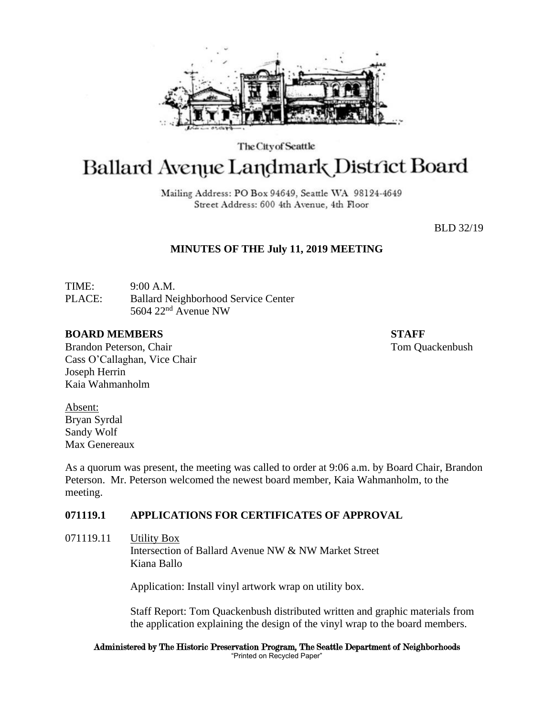

The City of Seattle

# Ballard Avenue Landmark District Board

Mailing Address: PO Box 94649, Seattle WA 98124-4649 Street Address: 600 4th Avenue, 4th Floor

BLD 32/19

# **MINUTES OF THE July 11, 2019 MEETING**

TIME: 9:00 A.M. PLACE: Ballard Neighborhood Service Center 5604 22nd Avenue NW

## **BOARD MEMBERS STAFF**

Brandon Peterson, Chair Tom Quackenbush Cass O'Callaghan, Vice Chair Joseph Herrin Kaia Wahmanholm

Absent: Bryan Syrdal Sandy Wolf Max Genereaux

As a quorum was present, the meeting was called to order at 9:06 a.m. by Board Chair, Brandon Peterson. Mr. Peterson welcomed the newest board member, Kaia Wahmanholm, to the meeting.

# **071119.1 APPLICATIONS FOR CERTIFICATES OF APPROVAL**

071119.11 Utility Box

Intersection of Ballard Avenue NW & NW Market Street Kiana Ballo

Application: Install vinyl artwork wrap on utility box.

Staff Report: Tom Quackenbush distributed written and graphic materials from the application explaining the design of the vinyl wrap to the board members.

#### Administered by The Historic Preservation Program, The Seattle Department of Neighborhoods "Printed on Recycled Paper"